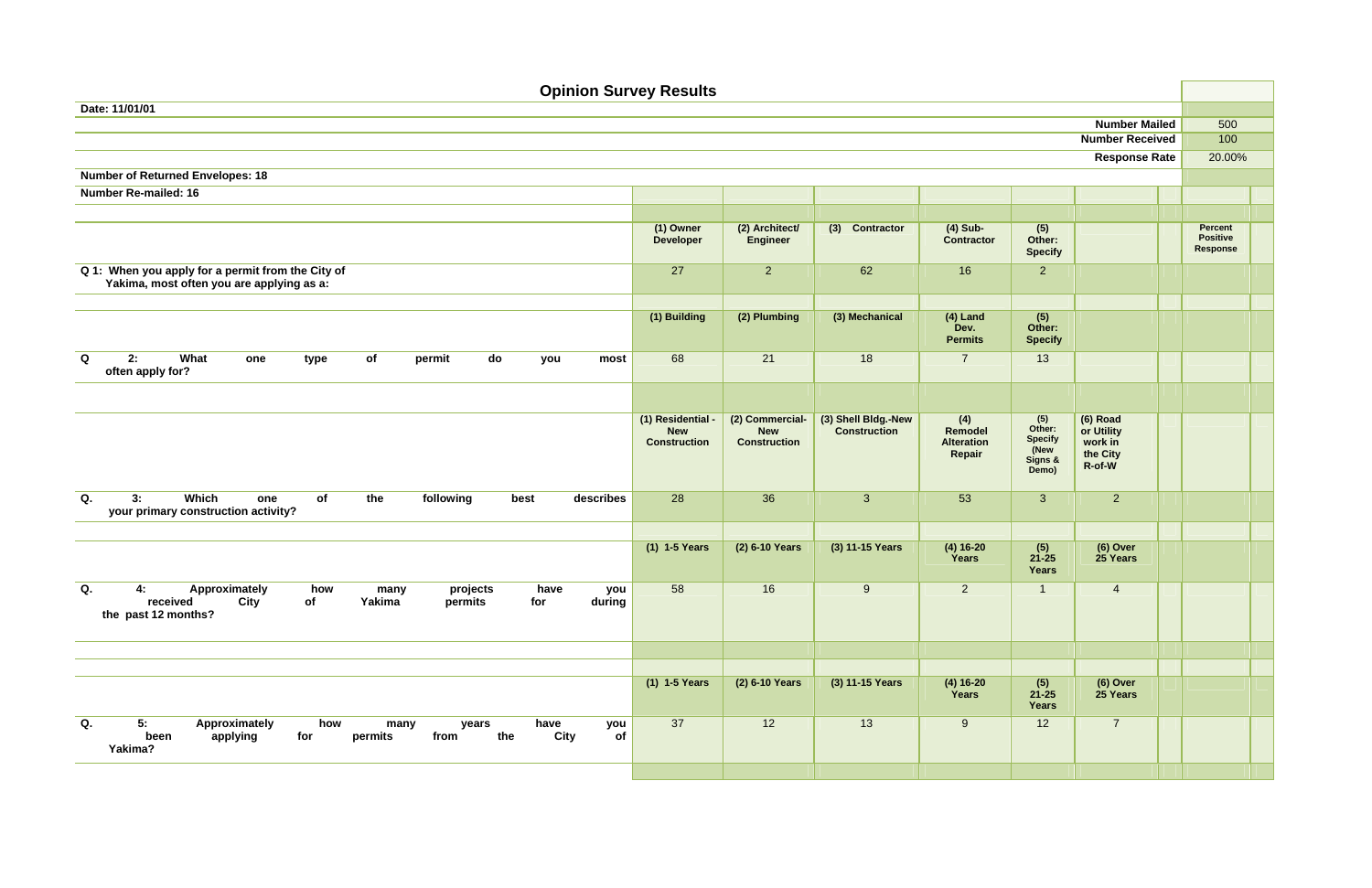| <b>Opinion Survey Results</b>                                                                                                                              |                                                        |                                                      |                                            |                                               |                                                             |                                                         |                                               |  |  |  |  |  |  |
|------------------------------------------------------------------------------------------------------------------------------------------------------------|--------------------------------------------------------|------------------------------------------------------|--------------------------------------------|-----------------------------------------------|-------------------------------------------------------------|---------------------------------------------------------|-----------------------------------------------|--|--|--|--|--|--|
| Date: 11/01/01                                                                                                                                             |                                                        |                                                      |                                            |                                               |                                                             |                                                         |                                               |  |  |  |  |  |  |
|                                                                                                                                                            |                                                        |                                                      |                                            |                                               |                                                             | <b>Number Mailed</b>                                    | 500                                           |  |  |  |  |  |  |
|                                                                                                                                                            |                                                        |                                                      |                                            |                                               |                                                             | <b>Number Received</b>                                  | 100                                           |  |  |  |  |  |  |
|                                                                                                                                                            |                                                        |                                                      |                                            |                                               |                                                             | <b>Response Rate</b>                                    | 20.00%                                        |  |  |  |  |  |  |
| <b>Number of Returned Envelopes: 18</b>                                                                                                                    |                                                        |                                                      |                                            |                                               |                                                             |                                                         |                                               |  |  |  |  |  |  |
| <b>Number Re-mailed: 16</b>                                                                                                                                |                                                        |                                                      |                                            |                                               |                                                             |                                                         |                                               |  |  |  |  |  |  |
|                                                                                                                                                            |                                                        |                                                      |                                            |                                               |                                                             |                                                         |                                               |  |  |  |  |  |  |
|                                                                                                                                                            | (1) Owner<br><b>Developer</b>                          | (2) Architect/<br><b>Engineer</b>                    | (3) Contractor                             | $(4)$ Sub-<br><b>Contractor</b>               | (5)<br>Other:<br><b>Specify</b>                             |                                                         | Percent<br><b>Positive</b><br><b>Response</b> |  |  |  |  |  |  |
| Q 1: When you apply for a permit from the City of                                                                                                          | 27                                                     | 2 <sup>1</sup>                                       | 62                                         | 16                                            | $\overline{2}$                                              |                                                         |                                               |  |  |  |  |  |  |
| Yakima, most often you are applying as a:                                                                                                                  |                                                        |                                                      |                                            |                                               |                                                             |                                                         |                                               |  |  |  |  |  |  |
|                                                                                                                                                            |                                                        |                                                      |                                            |                                               |                                                             |                                                         |                                               |  |  |  |  |  |  |
|                                                                                                                                                            | (1) Building                                           | (2) Plumbing                                         | (3) Mechanical                             | $(4)$ Land<br>Dev.<br><b>Permits</b>          | (5)<br>Other:<br><b>Specify</b>                             |                                                         |                                               |  |  |  |  |  |  |
| Q<br>2:<br>What<br>of<br>permit<br>do<br>most<br>one<br>type<br>you<br>often apply for?                                                                    | 68                                                     | 21                                                   | 18                                         | $\overline{7}$                                | 13                                                          |                                                         |                                               |  |  |  |  |  |  |
|                                                                                                                                                            |                                                        |                                                      |                                            |                                               |                                                             |                                                         |                                               |  |  |  |  |  |  |
|                                                                                                                                                            | (1) Residential -<br><b>New</b><br><b>Construction</b> | (2) Commercial-<br><b>New</b><br><b>Construction</b> | (3) Shell Bldg.-New<br><b>Construction</b> | (4)<br>Remodel<br><b>Alteration</b><br>Repair | (5)<br>Other:<br><b>Specify</b><br>(New<br>Signs &<br>Demo) | (6) Road<br>or Utility<br>work in<br>the City<br>R-of-W |                                               |  |  |  |  |  |  |
| Which<br>Q.<br>of<br>following<br>3:<br>the<br>best<br>describes<br>one<br>your primary construction activity?                                             | 28                                                     | 36                                                   | $\mathbf{3}$                               | 53                                            | $\mathbf{3}$                                                | 2                                                       |                                               |  |  |  |  |  |  |
|                                                                                                                                                            |                                                        |                                                      |                                            |                                               |                                                             |                                                         |                                               |  |  |  |  |  |  |
|                                                                                                                                                            | (1) 1-5 Years                                          | (2) 6-10 Years                                       | (3) 11-15 Years                            | $(4) 16 - 20$<br>Years                        | (5)<br>$21 - 25$<br><b>Years</b>                            | (6) Over<br>25 Years                                    |                                               |  |  |  |  |  |  |
| Q.<br>Approximately<br>projects<br>4:<br>how<br>have<br>many<br>you<br>City<br>received<br>Yakima<br>permits<br>during<br>of<br>for<br>the past 12 months? | 58                                                     | 16                                                   | 9                                          | 2                                             |                                                             | $\overline{4}$                                          |                                               |  |  |  |  |  |  |
|                                                                                                                                                            |                                                        |                                                      |                                            |                                               |                                                             |                                                         |                                               |  |  |  |  |  |  |
|                                                                                                                                                            |                                                        |                                                      |                                            |                                               |                                                             |                                                         |                                               |  |  |  |  |  |  |
|                                                                                                                                                            | (1) 1-5 Years                                          | (2) 6-10 Years                                       | (3) 11-15 Years                            | $(4) 16 - 20$<br>Years                        | (5)<br>$21 - 25$<br><b>Years</b>                            | (6) Over<br>25 Years                                    |                                               |  |  |  |  |  |  |
| Q.<br>5:<br>Approximately<br>how<br>have<br>many<br>years<br>you<br>City<br>applying<br>of<br>been<br>for<br>from<br>the<br>permits<br>Yakima?             | 37                                                     | 12                                                   | 13                                         | 9                                             | 12                                                          | $\overline{7}$                                          |                                               |  |  |  |  |  |  |
|                                                                                                                                                            |                                                        |                                                      |                                            |                                               |                                                             |                                                         |                                               |  |  |  |  |  |  |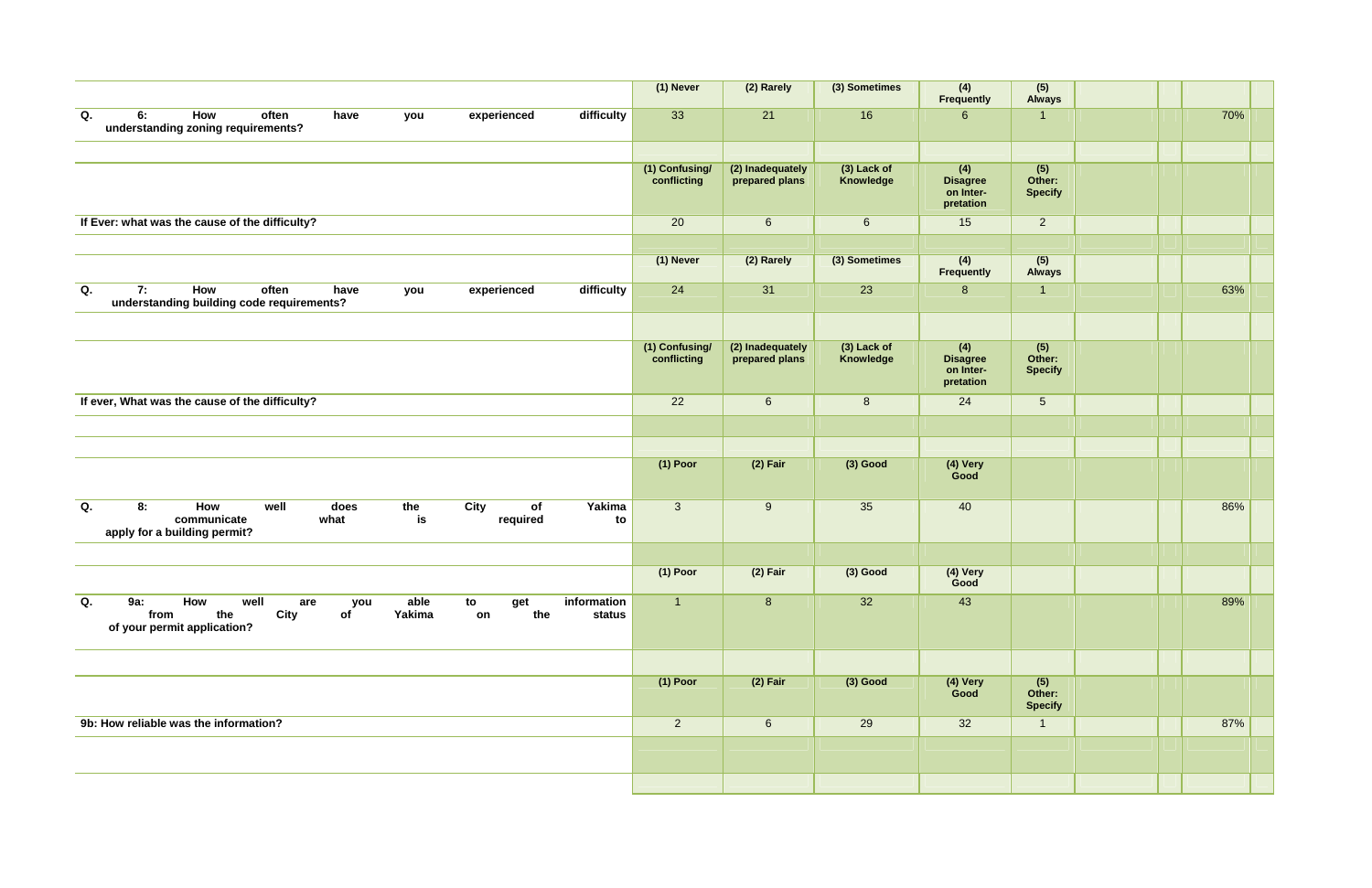|                                                                                                                                                                                | (1) Never                     | (2) Rarely                         | (3) Sometimes            | (4)<br>Frequently                                | $(5)$<br>Always                 |  |     |
|--------------------------------------------------------------------------------------------------------------------------------------------------------------------------------|-------------------------------|------------------------------------|--------------------------|--------------------------------------------------|---------------------------------|--|-----|
| Q.<br>How<br>difficulty<br>6:<br>often<br>experienced<br>have<br>you<br>understanding zoning requirements?                                                                     | 33                            | 21                                 | 16                       | $6\phantom{1}$                                   | $\overline{1}$                  |  | 70% |
|                                                                                                                                                                                |                               |                                    |                          |                                                  |                                 |  |     |
|                                                                                                                                                                                | (1) Confusing/<br>conflicting | (2) Inadequately<br>prepared plans | (3) Lack of<br>Knowledge | (4)<br><b>Disagree</b><br>on Inter-<br>pretation | (5)<br>Other:<br><b>Specify</b> |  |     |
| If Ever: what was the cause of the difficulty?                                                                                                                                 | 20                            | $6\phantom{1}$                     | $6\overline{6}$          | 15                                               | $2^{\circ}$                     |  |     |
|                                                                                                                                                                                |                               |                                    |                          |                                                  |                                 |  |     |
|                                                                                                                                                                                | (1) Never                     | (2) Rarely                         | (3) Sometimes            | (4)<br>Frequently                                | (5)<br><b>Always</b>            |  |     |
| How<br>difficulty<br>Q.<br>7:<br>often<br>experienced<br>have<br>you<br>understanding building code requirements?                                                              | 24                            | 31                                 | 23                       | 8                                                | $\overline{1}$                  |  | 63% |
|                                                                                                                                                                                |                               |                                    |                          |                                                  |                                 |  |     |
|                                                                                                                                                                                | (1) Confusing/<br>conflicting | (2) Inadequately<br>prepared plans | (3) Lack of<br>Knowledge | (4)<br><b>Disagree</b><br>on Inter-<br>pretation | (5)<br>Other:<br><b>Specify</b> |  |     |
| If ever, What was the cause of the difficulty?                                                                                                                                 | 22                            | $6\phantom{1}$                     | $8\phantom{1}$           | 24                                               | 5 <sup>5</sup>                  |  |     |
|                                                                                                                                                                                |                               |                                    |                          |                                                  |                                 |  |     |
|                                                                                                                                                                                |                               |                                    |                          |                                                  |                                 |  |     |
|                                                                                                                                                                                | $(1)$ Poor                    | $(2)$ Fair                         | $(3)$ Good               | (4) Very<br>Good                                 |                                 |  |     |
| <b>City</b><br>Q.<br>How<br>the<br>of<br>Yakima<br>8:<br>well<br>does<br>communicate<br>is<br>required<br>what<br>to<br>apply for a building permit?                           | $\mathbf{3}$                  | 9                                  | 35                       | 40                                               |                                 |  | 86% |
|                                                                                                                                                                                |                               |                                    |                          |                                                  |                                 |  |     |
|                                                                                                                                                                                | $(1)$ Poor                    | $(2)$ Fair                         | $(3)$ Good               | (4) Very<br>Good                                 |                                 |  |     |
| Q.<br>How<br>information<br><b>9a:</b><br>well<br>able<br>to<br>get<br>are<br>you<br>the<br>City<br>Yakima<br>the<br>from<br>of<br>on<br>status<br>of your permit application? | $\overline{1}$                | 8 <sup>°</sup>                     | 32                       | 43                                               |                                 |  | 89% |
|                                                                                                                                                                                |                               |                                    |                          |                                                  |                                 |  |     |
|                                                                                                                                                                                | $(1)$ Poor                    | $(2)$ Fair                         | $(3)$ Good               | (4) Very<br>Good                                 | (5)<br>Other:<br><b>Specify</b> |  |     |
| 9b: How reliable was the information?                                                                                                                                          | $\overline{2}$                | $6\overline{6}$                    | 29                       | 32                                               | $\overline{1}$                  |  | 87% |
|                                                                                                                                                                                |                               |                                    |                          |                                                  |                                 |  |     |
|                                                                                                                                                                                |                               |                                    |                          |                                                  |                                 |  |     |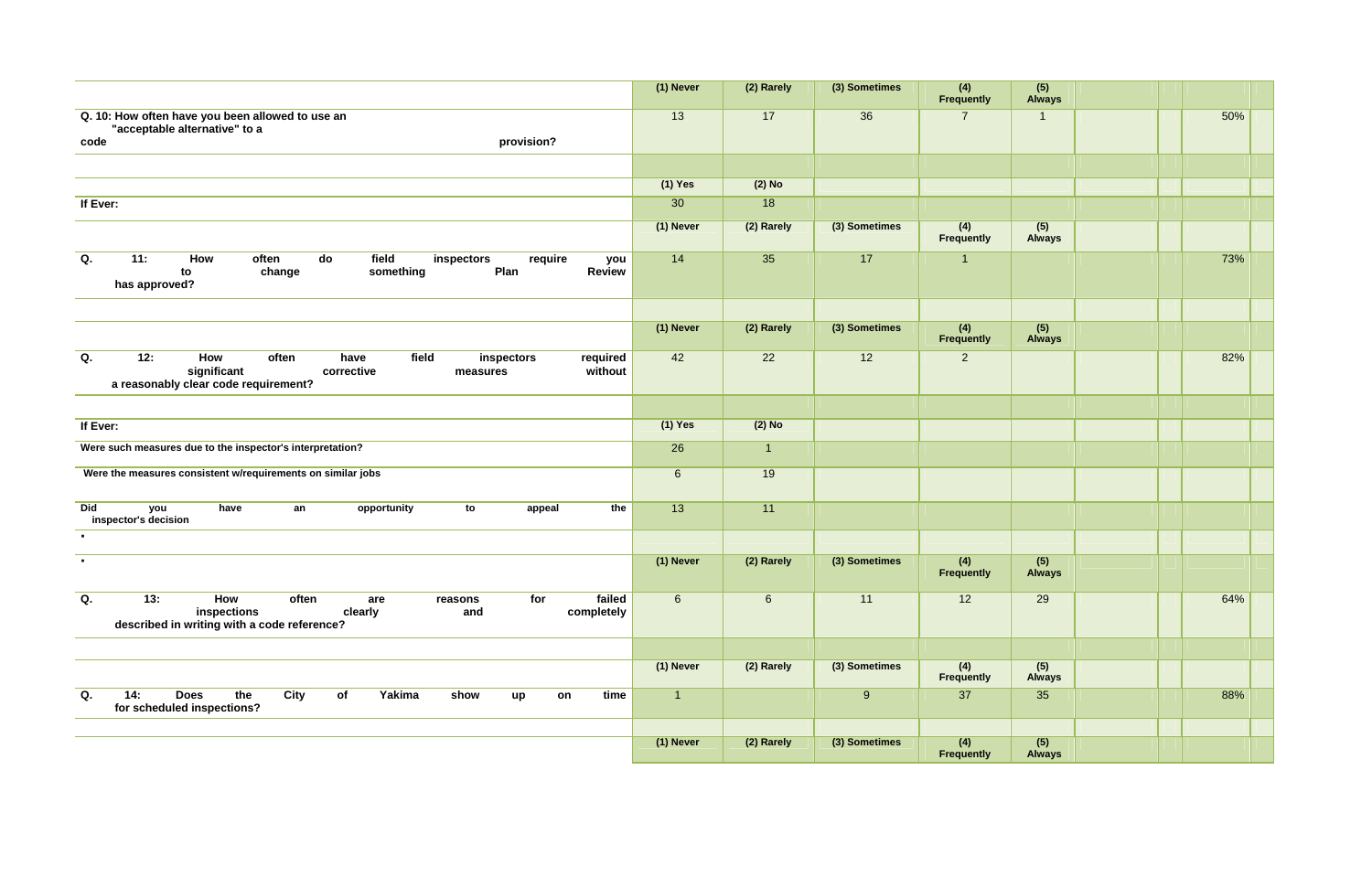|                                                                                                                                                                  | (1) Never      | (2) Rarely     | (3) Sometimes | (4)<br>Frequently        | $(5)$<br>Always      |  |     |
|------------------------------------------------------------------------------------------------------------------------------------------------------------------|----------------|----------------|---------------|--------------------------|----------------------|--|-----|
| Q. 10: How often have you been allowed to use an<br>"acceptable alternative" to a<br>provision?<br>code                                                          | 13             | 17             | 36            | $\overline{7}$           | $\overline{1}$       |  | 50% |
|                                                                                                                                                                  |                |                |               |                          |                      |  |     |
|                                                                                                                                                                  | $(1)$ Yes      | $(2)$ No       |               |                          |                      |  |     |
| If Ever:                                                                                                                                                         | 30             | 18             |               |                          |                      |  |     |
|                                                                                                                                                                  | (1) Never      | (2) Rarely     | (3) Sometimes | (4)<br><b>Frequently</b> | (5)<br><b>Always</b> |  |     |
| Q.<br>11:<br>How<br>field<br>often<br>do<br>require<br>inspectors<br>you<br>Plan<br><b>Review</b><br>change<br>to<br>something<br>has approved?                  | 14             | 35             | 17            | $\overline{1}$           |                      |  | 73% |
|                                                                                                                                                                  |                |                |               |                          |                      |  |     |
|                                                                                                                                                                  | (1) Never      | (2) Rarely     | (3) Sometimes | (4)<br>Frequently        | (5)<br><b>Always</b> |  |     |
| Q.<br>12:<br>field<br>How<br>often<br>have<br>inspectors<br>required<br>significant<br>corrective<br>without<br>measures<br>a reasonably clear code requirement? | 42             | 22             | 12            | $\overline{2}$           |                      |  | 82% |
|                                                                                                                                                                  |                |                |               |                          |                      |  |     |
| If Ever:                                                                                                                                                         | $(1)$ Yes      | $(2)$ No       |               |                          |                      |  |     |
| Were such measures due to the inspector's interpretation?                                                                                                        | 26             | $\overline{1}$ |               |                          |                      |  |     |
| Were the measures consistent w/requirements on similar jobs                                                                                                      | $\,6\,$        | 19             |               |                          |                      |  |     |
| <b>Did</b><br>have<br>the<br>you<br>an<br>opportunity<br>to<br>appeal<br>inspector's decision                                                                    | 13             | 11             |               |                          |                      |  |     |
| $\blacksquare$                                                                                                                                                   |                |                |               |                          |                      |  |     |
| $\blacksquare$                                                                                                                                                   | (1) Never      | (2) Rarely     | (3) Sometimes | (4)<br>Frequently        | (5)<br><b>Always</b> |  |     |
| failed<br>Q.<br>13:<br>How<br>often<br>for<br>are<br>reasons<br>inspections<br>clearly<br>completely<br>and<br>described in writing with a code reference?       | 6              | $6\phantom{1}$ | 11            | 12                       | 29                   |  | 64% |
|                                                                                                                                                                  |                |                |               |                          |                      |  |     |
|                                                                                                                                                                  | (1) Never      | (2) Rarely     | (3) Sometimes | (4)<br><b>Frequently</b> | (5)<br><b>Always</b> |  |     |
| the<br>14:<br><b>Does</b><br>City<br>Yakima<br>Q.<br>of<br>show<br>time<br>on<br>up<br>for scheduled inspections?                                                | $\overline{1}$ |                | 9             | 37                       | 35                   |  | 88% |
|                                                                                                                                                                  |                |                |               |                          |                      |  |     |
|                                                                                                                                                                  | (1) Never      | (2) Rarely     | (3) Sometimes | (4)<br>Frequently        | (5)<br><b>Always</b> |  |     |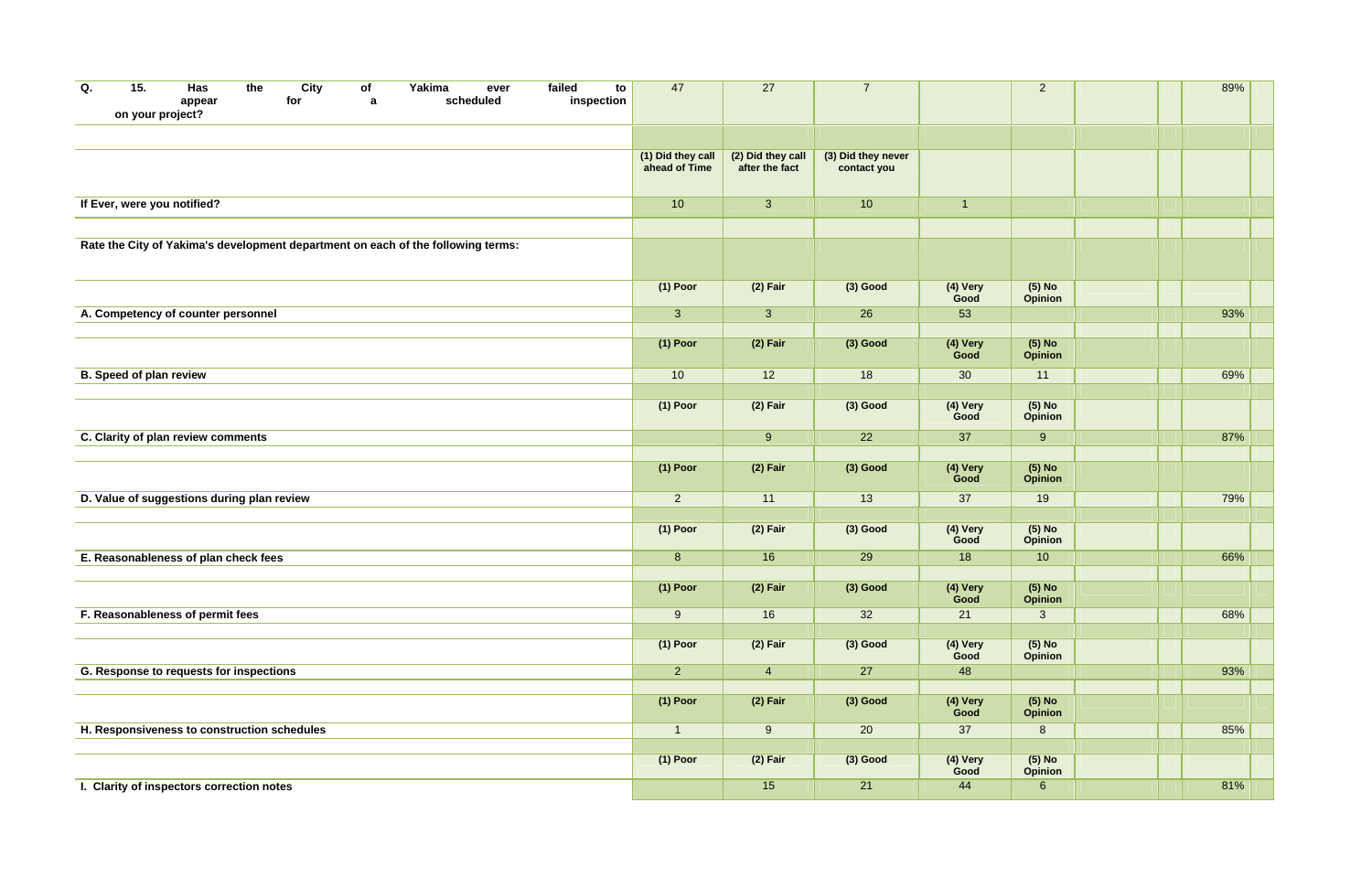| Q. | 15.<br>on your project?        | Has<br>appear                               | the | City<br>for | of<br>a | Yakima                                                                           | ever<br>scheduled | failed<br>to<br>inspection | 47                                 | 27                                  | $\overline{7}$                    |                  | $\overline{2}$             |  | 89% |  |
|----|--------------------------------|---------------------------------------------|-----|-------------|---------|----------------------------------------------------------------------------------|-------------------|----------------------------|------------------------------------|-------------------------------------|-----------------------------------|------------------|----------------------------|--|-----|--|
|    |                                |                                             |     |             |         |                                                                                  |                   |                            |                                    |                                     |                                   |                  |                            |  |     |  |
|    |                                |                                             |     |             |         |                                                                                  |                   |                            | (1) Did they call<br>ahead of Time | (2) Did they call<br>after the fact | (3) Did they never<br>contact you |                  |                            |  |     |  |
|    | If Ever, were you notified?    |                                             |     |             |         |                                                                                  |                   |                            | 10                                 | 3                                   | 10                                | $\overline{1}$   |                            |  |     |  |
|    |                                |                                             |     |             |         |                                                                                  |                   |                            |                                    |                                     |                                   |                  |                            |  |     |  |
|    |                                |                                             |     |             |         | Rate the City of Yakima's development department on each of the following terms: |                   |                            |                                    |                                     |                                   |                  |                            |  |     |  |
|    |                                |                                             |     |             |         |                                                                                  |                   |                            | $(1)$ Poor                         | $(2)$ Fair                          | $(3)$ Good                        | (4) Very<br>Good | $(5)$ No<br><b>Opinion</b> |  |     |  |
|    |                                | A. Competency of counter personnel          |     |             |         |                                                                                  |                   |                            | $\mathbf{3}$                       | 3                                   | 26                                | 53               |                            |  | 93% |  |
|    |                                |                                             |     |             |         |                                                                                  |                   |                            | $(1)$ Poor                         | $(2)$ Fair                          | $(3)$ Good                        | (4) Very<br>Good | (5) No<br>Opinion          |  |     |  |
|    | <b>B. Speed of plan review</b> |                                             |     |             |         |                                                                                  |                   |                            | 10                                 | 12                                  | 18                                | 30               | 11                         |  | 69% |  |
|    |                                |                                             |     |             |         |                                                                                  |                   |                            |                                    |                                     |                                   |                  |                            |  |     |  |
|    |                                |                                             |     |             |         |                                                                                  |                   |                            | $(1)$ Poor                         | $(2)$ Fair                          | $(3)$ Good                        | (4) Very<br>Good | $(5)$ No<br><b>Opinion</b> |  |     |  |
|    |                                | C. Clarity of plan review comments          |     |             |         |                                                                                  |                   |                            |                                    | $9^{\circ}$                         | 22                                | 37               | 9                          |  | 87% |  |
|    |                                |                                             |     |             |         |                                                                                  |                   |                            |                                    |                                     |                                   |                  |                            |  |     |  |
|    |                                |                                             |     |             |         |                                                                                  |                   |                            | $(1)$ Poor                         | $(2)$ Fair                          | $(3)$ Good                        | (4) Very<br>Good | $(5)$ No<br><b>Opinion</b> |  |     |  |
|    |                                | D. Value of suggestions during plan review  |     |             |         |                                                                                  |                   |                            | $\overline{2}$                     | 11                                  | 13                                | 37               | 19                         |  | 79% |  |
|    |                                |                                             |     |             |         |                                                                                  |                   |                            | $(1)$ Poor                         | $(2)$ Fair                          | $(3)$ Good                        | (4) Very<br>Good | $(5)$ No<br><b>Opinion</b> |  |     |  |
|    |                                | E. Reasonableness of plan check fees        |     |             |         |                                                                                  |                   |                            | 8                                  | 16                                  | 29                                | 18               | 10                         |  | 66% |  |
|    |                                |                                             |     |             |         |                                                                                  |                   |                            | $(1)$ Poor                         | $(2)$ Fair                          | $(3)$ Good                        | (4) Very<br>Good | $(5)$ No<br>Opinion        |  |     |  |
|    |                                | F. Reasonableness of permit fees            |     |             |         |                                                                                  |                   |                            | 9                                  | 16                                  | 32                                | 21               | 3 <sup>1</sup>             |  | 68% |  |
|    |                                |                                             |     |             |         |                                                                                  |                   |                            |                                    |                                     |                                   |                  |                            |  |     |  |
|    |                                |                                             |     |             |         |                                                                                  |                   |                            | $(1)$ Poor                         | $(2)$ Fair                          | $(3)$ Good                        | (4) Very<br>Good | $(5)$ No<br>Opinion        |  |     |  |
|    |                                | G. Response to requests for inspections     |     |             |         |                                                                                  |                   |                            | $\overline{2}$                     | $\overline{4}$                      | 27                                | 48               |                            |  | 93% |  |
|    |                                |                                             |     |             |         |                                                                                  |                   |                            | $(1)$ Poor                         | $(2)$ Fair                          | $(3)$ Good                        | (4) Very<br>Good | (5) No<br><b>Opinion</b>   |  |     |  |
|    |                                | H. Responsiveness to construction schedules |     |             |         |                                                                                  |                   |                            | $\overline{1}$                     | $9\,$                               | 20                                | 37               | $8\phantom{1}$             |  | 85% |  |
|    |                                |                                             |     |             |         |                                                                                  |                   |                            |                                    |                                     |                                   |                  |                            |  |     |  |
|    |                                |                                             |     |             |         |                                                                                  |                   |                            | $(1)$ Poor                         | $(2)$ Fair                          | $(3)$ Good                        | (4) Very<br>Good | $(5)$ No<br><b>Opinion</b> |  |     |  |
|    |                                | I. Clarity of inspectors correction notes   |     |             |         |                                                                                  |                   |                            |                                    | 15                                  | 21                                | 44               | $6\phantom{.}6$            |  | 81% |  |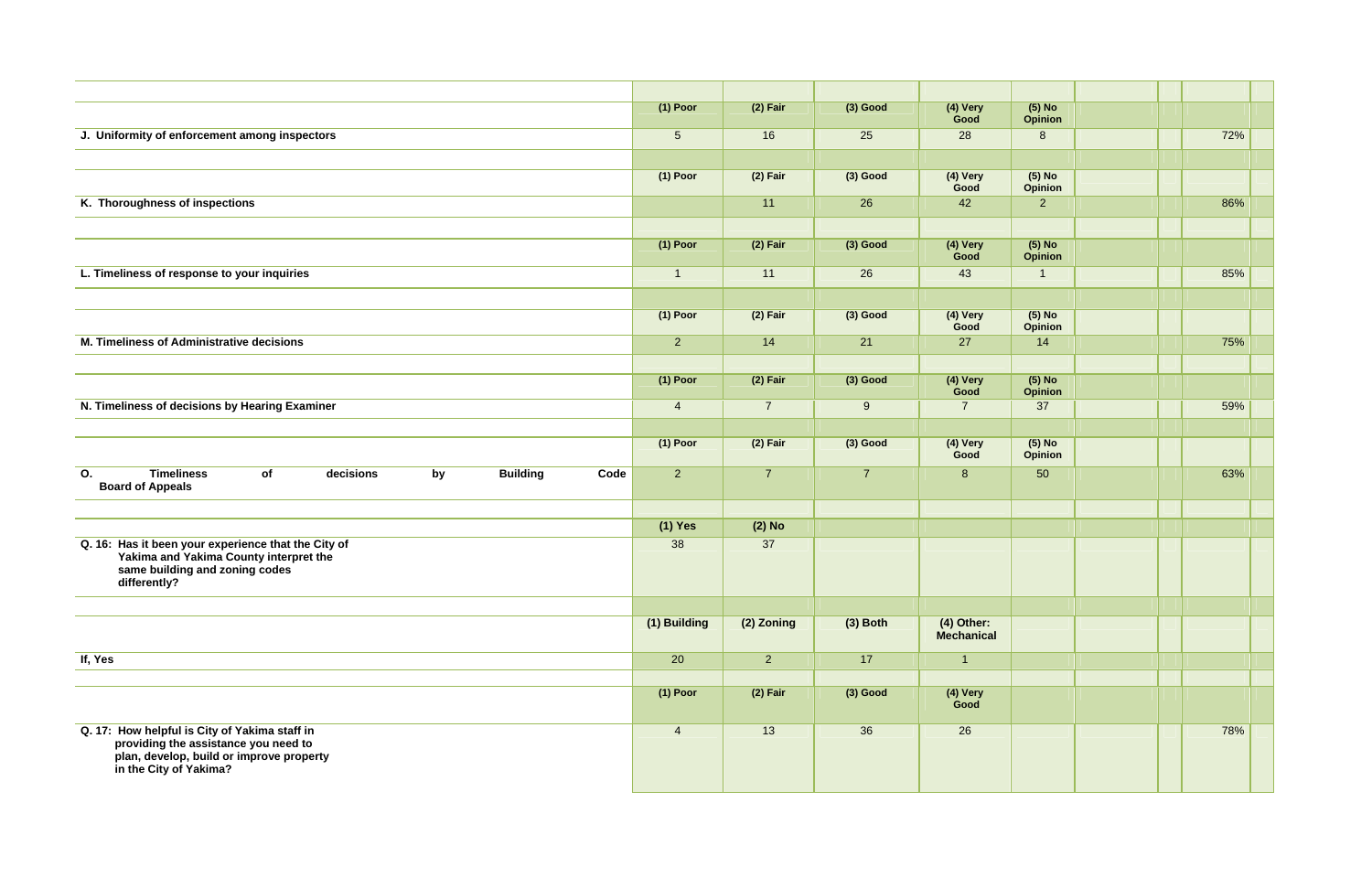|                                                                                                                                                             | $(1)$ Poor      | $(2)$ Fair     | $(3)$ Good     | (4) Very<br>Good           | $(5)$ No<br><b>Opinion</b> |  |     |  |
|-------------------------------------------------------------------------------------------------------------------------------------------------------------|-----------------|----------------|----------------|----------------------------|----------------------------|--|-----|--|
| J. Uniformity of enforcement among inspectors                                                                                                               | $5\phantom{.0}$ | 16             | 25             | 28                         | 8                          |  | 72% |  |
|                                                                                                                                                             |                 |                |                |                            |                            |  |     |  |
|                                                                                                                                                             | $(1)$ Poor      | $(2)$ Fair     | $(3)$ Good     | (4) Very<br>Good           | $(5)$ No<br>Opinion        |  |     |  |
| K. Thoroughness of inspections                                                                                                                              |                 | 11             | 26             | 42                         | $\overline{2}$             |  | 86% |  |
|                                                                                                                                                             |                 |                |                |                            |                            |  |     |  |
|                                                                                                                                                             | $(1)$ Poor      | $(2)$ Fair     | $(3)$ Good     | (4) Very<br>Good           | $(5)$ No<br><b>Opinion</b> |  |     |  |
| L. Timeliness of response to your inquiries                                                                                                                 | $\overline{1}$  | 11             | 26             | 43                         | $\mathbf 1$                |  | 85% |  |
|                                                                                                                                                             |                 |                |                |                            |                            |  |     |  |
|                                                                                                                                                             | $(1)$ Poor      | $(2)$ Fair     | $(3)$ Good     | (4) Very<br>Good           | $(5)$ No<br><b>Opinion</b> |  |     |  |
| M. Timeliness of Administrative decisions                                                                                                                   | $\overline{2}$  | 14             | 21             | 27                         | 14                         |  | 75% |  |
|                                                                                                                                                             |                 |                |                |                            |                            |  |     |  |
|                                                                                                                                                             | $(1)$ Poor      | $(2)$ Fair     | $(3)$ Good     | (4) Very<br>Good           | $(5)$ No<br><b>Opinion</b> |  |     |  |
| N. Timeliness of decisions by Hearing Examiner                                                                                                              | $\overline{4}$  | $\overline{7}$ | 9              | $\overline{7}$             | 37                         |  | 59% |  |
|                                                                                                                                                             |                 |                |                |                            |                            |  |     |  |
|                                                                                                                                                             | $(1)$ Poor      | $(2)$ Fair     | $(3)$ Good     | (4) Very<br>Good           | $(5)$ No<br>Opinion        |  |     |  |
| <b>Timeliness</b><br>of<br>decisions<br>by<br><b>Building</b><br>Code<br>O.<br><b>Board of Appeals</b>                                                      | $\overline{2}$  | $\overline{7}$ | $\overline{7}$ | 8                          | 50                         |  | 63% |  |
|                                                                                                                                                             |                 |                |                |                            |                            |  |     |  |
|                                                                                                                                                             | (1) Yes         | $(2)$ No       |                |                            |                            |  |     |  |
| Q. 16: Has it been your experience that the City of<br>Yakima and Yakima County interpret the<br>same building and zoning codes<br>differently?             | 38              | 37             |                |                            |                            |  |     |  |
|                                                                                                                                                             |                 |                |                |                            |                            |  |     |  |
|                                                                                                                                                             | (1) Building    | (2) Zoning     | $(3)$ Both     | $(4)$ Other:<br>Mechanical |                            |  |     |  |
| If, Yes                                                                                                                                                     | 20              | 2 <sup>1</sup> | 17             | $\overline{1}$             |                            |  |     |  |
|                                                                                                                                                             |                 |                |                |                            |                            |  |     |  |
|                                                                                                                                                             | $(1)$ Poor      | $(2)$ Fair     | $(3)$ Good     | (4) Very<br>Good           |                            |  |     |  |
| Q. 17: How helpful is City of Yakima staff in<br>providing the assistance you need to<br>plan, develop, build or improve property<br>in the City of Yakima? | $\overline{4}$  | 13             | 36             | 26                         |                            |  | 78% |  |